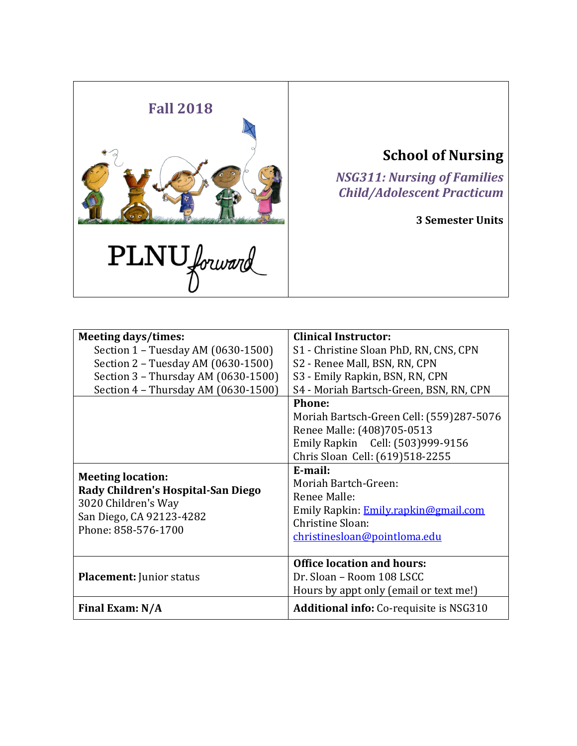

**School of Nursing**

*NSG311: Nursing of Families Child/Adolescent Practicum*

**3 Semester Units**

| <b>Meeting days/times:</b>                                                                                                               | <b>Clinical Instructor:</b>                                                                                                                 |  |
|------------------------------------------------------------------------------------------------------------------------------------------|---------------------------------------------------------------------------------------------------------------------------------------------|--|
| Section 1 - Tuesday AM (0630-1500)                                                                                                       | S1 - Christine Sloan PhD, RN, CNS, CPN                                                                                                      |  |
| Section 2 - Tuesday AM (0630-1500)                                                                                                       | S2 - Renee Mall, BSN, RN, CPN                                                                                                               |  |
| Section 3 - Thursday AM (0630-1500)                                                                                                      | S3 - Emily Rapkin, BSN, RN, CPN                                                                                                             |  |
| Section 4 - Thursday AM (0630-1500)                                                                                                      | S4 - Moriah Bartsch-Green, BSN, RN, CPN                                                                                                     |  |
|                                                                                                                                          | <b>Phone:</b>                                                                                                                               |  |
|                                                                                                                                          | Moriah Bartsch-Green Cell: (559)287-5076                                                                                                    |  |
|                                                                                                                                          | Renee Malle: (408)705-0513                                                                                                                  |  |
|                                                                                                                                          | Emily Rapkin Cell: (503)999-9156                                                                                                            |  |
|                                                                                                                                          | Chris Sloan Cell: (619)518-2255                                                                                                             |  |
| <b>Meeting location:</b><br>Rady Children's Hospital-San Diego<br>3020 Children's Way<br>San Diego, CA 92123-4282<br>Phone: 858-576-1700 | E-mail:<br>Moriah Bartch-Green:<br>Renee Malle:<br>Emily Rapkin: Emily.rapkin@gmail.com<br>Christine Sloan:<br>christinesloan@pointloma.edu |  |
| <b>Placement: Junior status</b>                                                                                                          | <b>Office location and hours:</b><br>Dr. Sloan - Room 108 LSCC<br>Hours by appt only (email or text me!)                                    |  |
| Final Exam: N/A                                                                                                                          | <b>Additional info:</b> Co-requisite is NSG310                                                                                              |  |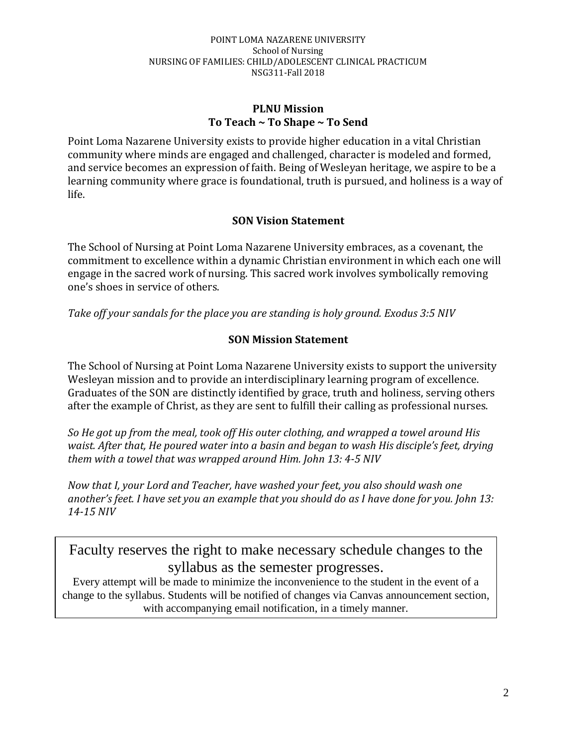### **PLNU Mission To Teach ~ To Shape ~ To Send**

Point Loma Nazarene University exists to provide higher education in a vital Christian community where minds are engaged and challenged, character is modeled and formed, and service becomes an expression of faith. Being of Wesleyan heritage, we aspire to be a learning community where grace is foundational, truth is pursued, and holiness is a way of life.

# **SON Vision Statement**

The School of Nursing at Point Loma Nazarene University embraces, as a covenant, the commitment to excellence within a dynamic Christian environment in which each one will engage in the sacred work of nursing. This sacred work involves symbolically removing one's shoes in service of others.

*Take off your sandals for the place you are standing is holy ground. Exodus 3:5 NIV* 

# **SON Mission Statement**

The School of Nursing at Point Loma Nazarene University exists to support the university Wesleyan mission and to provide an interdisciplinary learning program of excellence. Graduates of the SON are distinctly identified by grace, truth and holiness, serving others after the example of Christ, as they are sent to fulfill their calling as professional nurses.

*So He got up from the meal, took off His outer clothing, and wrapped a towel around His waist. After that, He poured water into a basin and began to wash His disciple's feet, drying them with a towel that was wrapped around Him. John 13: 4-5 NIV* 

*Now that I, your Lord and Teacher, have washed your feet, you also should wash one another's feet. I have set you an example that you should do as I have done for you. John 13: 14-15 NIV* 

Faculty reserves the right to make necessary schedule changes to the syllabus as the semester progresses.

Every attempt will be made to minimize the inconvenience to the student in the event of a change to the syllabus. Students will be notified of changes via Canvas announcement section, with accompanying email notification, in a timely manner.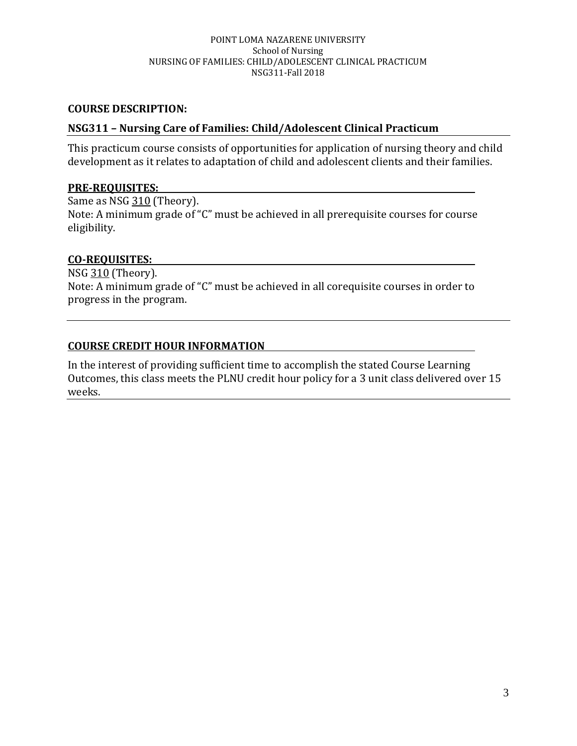### **COURSE DESCRIPTION:**

### **NSG311 – Nursing Care of Families: Child/Adolescent Clinical Practicum**

This practicum course consists of opportunities for application of nursing theory and child development as it relates to adaptation of child and adolescent clients and their families.

### **PRE-REQUISITES:**

Same as NSG 310 (Theory). Note: A minimum grade of "C" must be achieved in all prerequisite courses for course eligibility.

## **CO-REQUISITES:**

NSG 310 (Theory). Note: A minimum grade of "C" must be achieved in all corequisite courses in order to progress in the program.

## **COURSE CREDIT HOUR INFORMATION**

In the interest of providing sufficient time to accomplish the stated Course Learning Outcomes, this class meets the PLNU credit hour policy for a 3 unit class delivered over 15 weeks.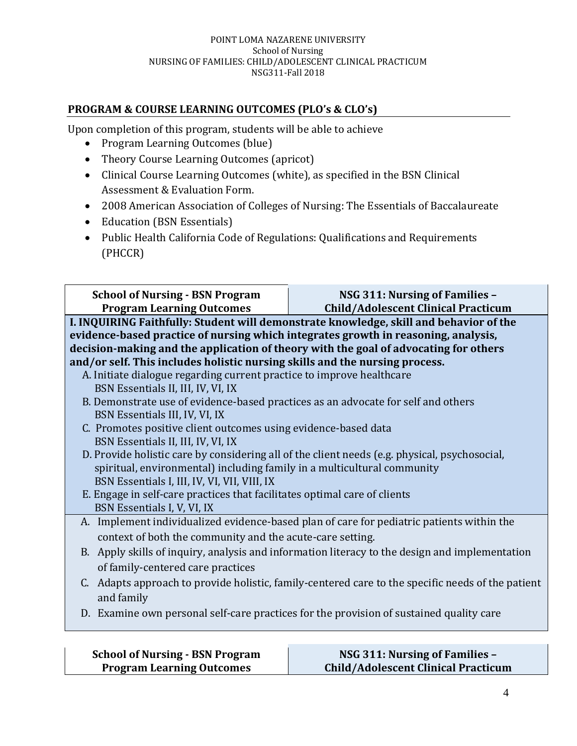# **PROGRAM & COURSE LEARNING OUTCOMES (PLO's & CLO's)**

Upon completion of this program, students will be able to achieve

- Program Learning Outcomes (blue)
- Theory Course Learning Outcomes (apricot)
- Clinical Course Learning Outcomes (white), as specified in the BSN Clinical Assessment & Evaluation Form.
- 2008 American Association of Colleges of Nursing: The Essentials of Baccalaureate
- Education (BSN Essentials)
- Public Health California Code of Regulations: Qualifications and Requirements (PHCCR)

| <b>School of Nursing - BSN Program</b><br><b>Program Learning Outcomes</b>                                                                                                 | NSG 311: Nursing of Families -<br><b>Child/Adolescent Clinical Practicum</b>                  |  |  |
|----------------------------------------------------------------------------------------------------------------------------------------------------------------------------|-----------------------------------------------------------------------------------------------|--|--|
|                                                                                                                                                                            | I. INQUIRING Faithfully: Student will demonstrate knowledge, skill and behavior of the        |  |  |
| evidence-based practice of nursing which integrates growth in reasoning, analysis,<br>decision-making and the application of theory with the goal of advocating for others |                                                                                               |  |  |
| and/or self. This includes holistic nursing skills and the nursing process.                                                                                                |                                                                                               |  |  |
| A. Initiate dialogue regarding current practice to improve healthcare                                                                                                      |                                                                                               |  |  |
| BSN Essentials II, III, IV, VI, IX                                                                                                                                         |                                                                                               |  |  |
| B. Demonstrate use of evidence-based practices as an advocate for self and others                                                                                          |                                                                                               |  |  |
| BSN Essentials III, IV, VI, IX                                                                                                                                             |                                                                                               |  |  |
| C. Promotes positive client outcomes using evidence-based data                                                                                                             |                                                                                               |  |  |
| BSN Essentials II, III, IV, VI, IX                                                                                                                                         | D. Provide holistic care by considering all of the client needs (e.g. physical, psychosocial, |  |  |
| spiritual, environmental) including family in a multicultural community                                                                                                    |                                                                                               |  |  |
| BSN Essentials I, III, IV, VI, VII, VIII, IX                                                                                                                               |                                                                                               |  |  |
| E. Engage in self-care practices that facilitates optimal care of clients                                                                                                  |                                                                                               |  |  |
| BSN Essentials I, V, VI, IX                                                                                                                                                |                                                                                               |  |  |
| A. Implement individualized evidence-based plan of care for pediatric patients within the                                                                                  |                                                                                               |  |  |
| context of both the community and the acute-care setting.                                                                                                                  |                                                                                               |  |  |
| B. Apply skills of inquiry, analysis and information literacy to the design and implementation                                                                             |                                                                                               |  |  |
| of family-centered care practices                                                                                                                                          |                                                                                               |  |  |
| C. Adapts approach to provide holistic, family-centered care to the specific needs of the patient<br>and family                                                            |                                                                                               |  |  |
|                                                                                                                                                                            | D. Examine own personal self-care practices for the provision of sustained quality care       |  |  |

| <b>School of Nursing - BSN Program</b> | NSG 311: Nursing of Families –             |
|----------------------------------------|--------------------------------------------|
| <b>Program Learning Outcomes</b>       | <b>Child/Adolescent Clinical Practicum</b> |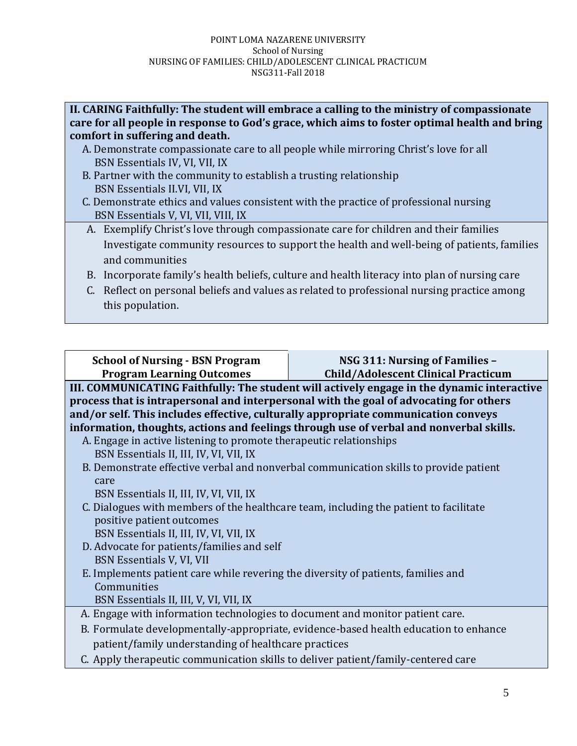| II. CARING Faithfully: The student will embrace a calling to the ministry of compassionate    |
|-----------------------------------------------------------------------------------------------|
| care for all people in response to God's grace, which aims to foster optimal health and bring |
| comfort in suffering and death.                                                               |

- A. Demonstrate compassionate care to all people while mirroring Christ's love for all BSN Essentials IV, VI, VII, IX
- B. Partner with the community to establish a trusting relationship BSN Essentials II.VI, VII, IX
- C. Demonstrate ethics and values consistent with the practice of professional nursing BSN Essentials V, VI, VII, VIII, IX
- A. Exemplify Christ's love through compassionate care for children and their families Investigate community resources to support the health and well-being of patients, families and communities
- B. Incorporate family's health beliefs, culture and health literacy into plan of nursing care
- C. Reflect on personal beliefs and values as related to professional nursing practice among this population.

| <b>School of Nursing - BSN Program</b>                                                                                                                                                                                                                                 | NSG 311: Nursing of Families -                                                          |  |
|------------------------------------------------------------------------------------------------------------------------------------------------------------------------------------------------------------------------------------------------------------------------|-----------------------------------------------------------------------------------------|--|
| <b>Program Learning Outcomes</b><br><b>Child/Adolescent Clinical Practicum</b><br>III. COMMUNICATING Faithfully: The student will actively engage in the dynamic interactive<br>process that is intrapersonal and interpersonal with the goal of advocating for others |                                                                                         |  |
| and/or self. This includes effective, culturally appropriate communication conveys                                                                                                                                                                                     |                                                                                         |  |
|                                                                                                                                                                                                                                                                        | information, thoughts, actions and feelings through use of verbal and nonverbal skills. |  |
| A. Engage in active listening to promote therapeutic relationships                                                                                                                                                                                                     |                                                                                         |  |
| BSN Essentials II, III, IV, VI, VII, IX                                                                                                                                                                                                                                |                                                                                         |  |
|                                                                                                                                                                                                                                                                        | B. Demonstrate effective verbal and nonverbal communication skills to provide patient   |  |
| care                                                                                                                                                                                                                                                                   |                                                                                         |  |
| BSN Essentials II, III, IV, VI, VII, IX                                                                                                                                                                                                                                |                                                                                         |  |
| C. Dialogues with members of the healthcare team, including the patient to facilitate                                                                                                                                                                                  |                                                                                         |  |
| positive patient outcomes                                                                                                                                                                                                                                              |                                                                                         |  |
| BSN Essentials II, III, IV, VI, VII, IX                                                                                                                                                                                                                                |                                                                                         |  |
| D. Advocate for patients/families and self                                                                                                                                                                                                                             |                                                                                         |  |
| BSN Essentials V, VI, VII                                                                                                                                                                                                                                              |                                                                                         |  |
| E. Implements patient care while revering the diversity of patients, families and                                                                                                                                                                                      |                                                                                         |  |
| Communities                                                                                                                                                                                                                                                            |                                                                                         |  |
| BSN Essentials II, III, V, VI, VII, IX                                                                                                                                                                                                                                 |                                                                                         |  |
| A. Engage with information technologies to document and monitor patient care.                                                                                                                                                                                          |                                                                                         |  |
| B. Formulate developmentally-appropriate, evidence-based health education to enhance                                                                                                                                                                                   |                                                                                         |  |
| patient/family understanding of healthcare practices                                                                                                                                                                                                                   |                                                                                         |  |
| C. Apply therapeutic communication skills to deliver patient/family-centered care                                                                                                                                                                                      |                                                                                         |  |
|                                                                                                                                                                                                                                                                        |                                                                                         |  |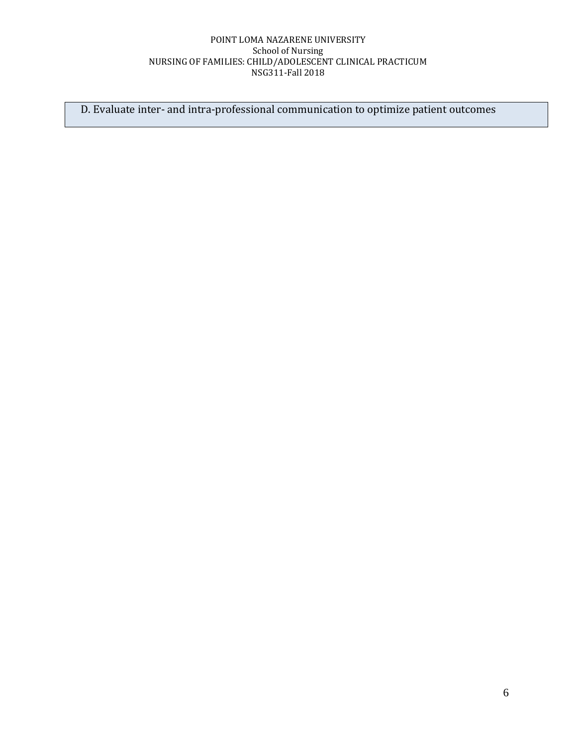D. Evaluate inter- and intra-professional communication to optimize patient outcomes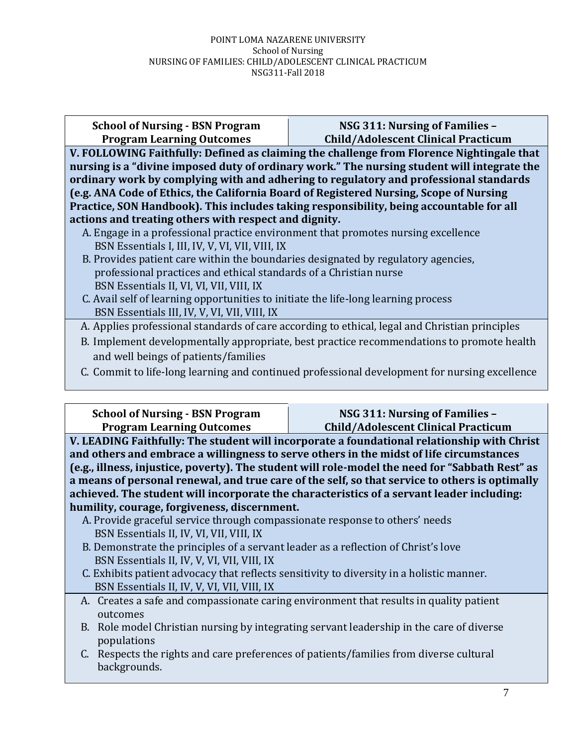**School of Nursing - BSN Program Program Learning Outcomes**

### **NSG 311: Nursing of Families – Child/Adolescent Clinical Practicum**

**V. FOLLOWING Faithfully: Defined as claiming the challenge from Florence Nightingale that nursing is a "divine imposed duty of ordinary work." The nursing student will integrate the ordinary work by complying with and adhering to regulatory and professional standards (e.g. ANA Code of Ethics, the California Board of Registered Nursing, Scope of Nursing Practice, SON Handbook). This includes taking responsibility, being accountable for all actions and treating others with respect and dignity.**

- A. Engage in a professional practice environment that promotes nursing excellence BSN Essentials I, III, IV, V, VI, VII, VIII, IX
- B. Provides patient care within the boundaries designated by regulatory agencies, professional practices and ethical standards of a Christian nurse BSN Essentials II, VI, VI, VII, VIII, IX
- C. Avail self of learning opportunities to initiate the life-long learning process BSN Essentials III, IV, V, VI, VII, VIII, IX
- A. Applies professional standards of care according to ethical, legal and Christian principles
- B. Implement developmentally appropriate, best practice recommendations to promote health and well beings of patients/families
- C. Commit to life-long learning and continued professional development for nursing excellence

| <b>School of Nursing - BSN Program</b>                                                    | NSG 311: Nursing of Families -                                                                  |  |
|-------------------------------------------------------------------------------------------|-------------------------------------------------------------------------------------------------|--|
| <b>Program Learning Outcomes</b>                                                          | <b>Child/Adolescent Clinical Practicum</b>                                                      |  |
|                                                                                           | V. LEADING Faithfully: The student will incorporate a foundational relationship with Christ     |  |
|                                                                                           | and others and embrace a willingness to serve others in the midst of life circumstances         |  |
|                                                                                           | (e.g., illness, injustice, poverty). The student will role-model the need for "Sabbath Rest" as |  |
|                                                                                           | a means of personal renewal, and true care of the self, so that service to others is optimally  |  |
|                                                                                           | achieved. The student will incorporate the characteristics of a servant leader including:       |  |
| humility, courage, forgiveness, discernment.                                              |                                                                                                 |  |
| A. Provide graceful service through compassionate response to others' needs               |                                                                                                 |  |
| BSN Essentials II, IV, VI, VII, VIII, IX                                                  |                                                                                                 |  |
| B. Demonstrate the principles of a servant leader as a reflection of Christ's love        |                                                                                                 |  |
| BSN Essentials II, IV, V, VI, VII, VIII, IX                                               |                                                                                                 |  |
|                                                                                           |                                                                                                 |  |
| C. Exhibits patient advocacy that reflects sensitivity to diversity in a holistic manner. |                                                                                                 |  |
| BSN Essentials II, IV, V, VI, VII, VIII, IX                                               |                                                                                                 |  |
|                                                                                           | A. Creates a safe and compassionate caring environment that results in quality patient          |  |
| outcomes                                                                                  |                                                                                                 |  |
| B. Role model Christian nursing by integrating servant leadership in the care of diverse  |                                                                                                 |  |
| populations                                                                               |                                                                                                 |  |
| C. Respects the rights and care preferences of patients/families from diverse cultural    |                                                                                                 |  |
| backgrounds.                                                                              |                                                                                                 |  |
|                                                                                           |                                                                                                 |  |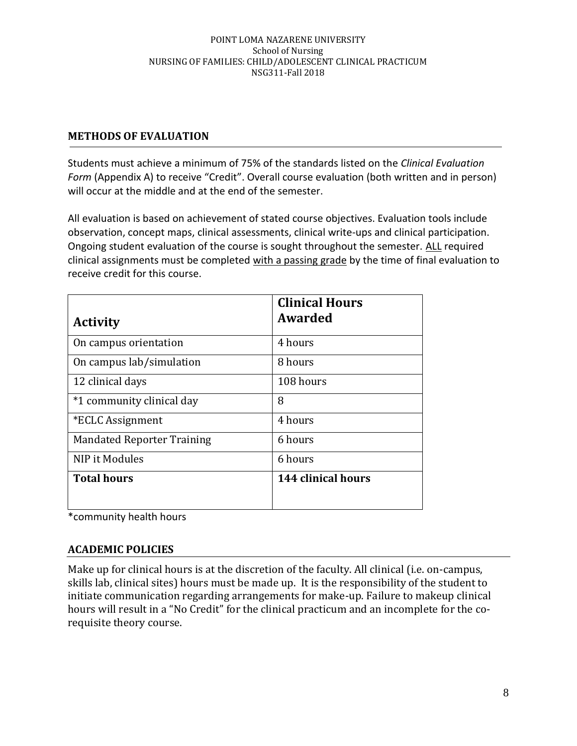# **METHODS OF EVALUATION**

Students must achieve a minimum of 75% of the standards listed on the *Clinical Evaluation Form* (Appendix A) to receive "Credit". Overall course evaluation (both written and in person) will occur at the middle and at the end of the semester.

All evaluation is based on achievement of stated course objectives. Evaluation tools include observation, concept maps, clinical assessments, clinical write-ups and clinical participation. Ongoing student evaluation of the course is sought throughout the semester. ALL required clinical assignments must be completed with a passing grade by the time of final evaluation to receive credit for this course.

|                                   | <b>Clinical Hours</b> |
|-----------------------------------|-----------------------|
| <b>Activity</b>                   | Awarded               |
| On campus orientation             | 4 hours               |
| On campus lab/simulation          | 8 hours               |
| 12 clinical days                  | 108 hours             |
| *1 community clinical day         | 8                     |
| *ECLC Assignment                  | 4 hours               |
| <b>Mandated Reporter Training</b> | 6 hours               |
| NIP it Modules                    | 6 hours               |
| <b>Total hours</b>                | 144 clinical hours    |
|                                   |                       |

\*community health hours

# **ACADEMIC POLICIES**

Make up for clinical hours is at the discretion of the faculty. All clinical (i.e. on-campus, skills lab, clinical sites) hours must be made up. It is the responsibility of the student to initiate communication regarding arrangements for make-up. Failure to makeup clinical hours will result in a "No Credit" for the clinical practicum and an incomplete for the corequisite theory course.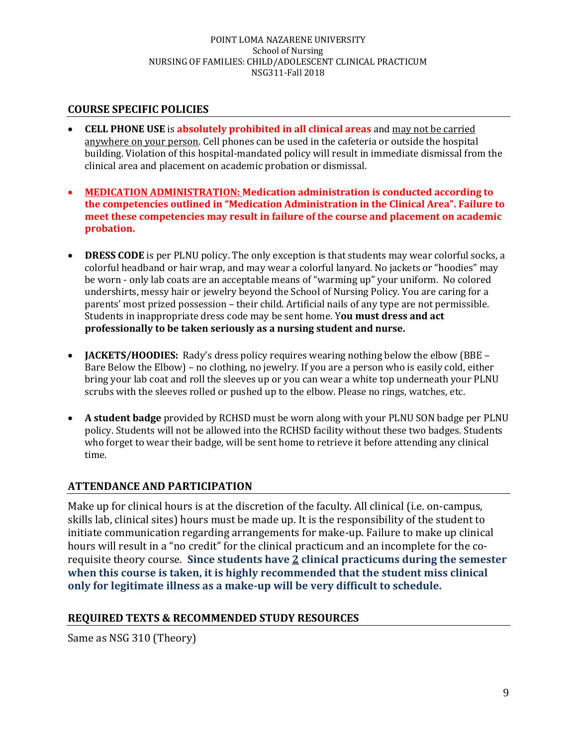# **COURSE SPECIFIC POLICIES**

- **CELL PHONE USE** is **absolutely prohibited in all clinical areas** and may not be carried anywhere on your person. Cell phones can be used in the cafeteria or outside the hospital building. Violation of this hospital-mandated policy will result in immediate dismissal from the clinical area and placement on academic probation or dismissal.
- **MEDICATION ADMINISTRATION: Medication administration is conducted according to the competencies outlined in "Medication Administration in the Clinical Area". Failure to meet these competencies may result in failure of the course and placement on academic probation.**
- **DRESS CODE** is per PLNU policy. The only exception is that students may wear colorful socks, a colorful headband or hair wrap, and may wear a colorful lanyard. No jackets or "hoodies" may be worn - only lab coats are an acceptable means of "warming up" your uniform. No colored undershirts, messy hair or jewelry beyond the School of Nursing Policy. You are caring for a parents' most prized possession – their child. Artificial nails of any type are not permissible. Students in inappropriate dress code may be sent home. Y**ou must dress and act professionally to be taken seriously as a nursing student and nurse.**
- **JACKETS/HOODIES:** Rady's dress policy requires wearing nothing below the elbow (BBE Bare Below the Elbow) – no clothing, no jewelry. If you are a person who is easily cold, either bring your lab coat and roll the sleeves up or you can wear a white top underneath your PLNU scrubs with the sleeves rolled or pushed up to the elbow. Please no rings, watches, etc.
- **A student badge** provided by RCHSD must be worn along with your PLNU SON badge per PLNU policy. Students will not be allowed into the RCHSD facility without these two badges. Students who forget to wear their badge, will be sent home to retrieve it before attending any clinical time.

# **ATTENDANCE AND PARTICIPATION**

Make up for clinical hours is at the discretion of the faculty. All clinical (i.e. on-campus, skills lab, clinical sites) hours must be made up. It is the responsibility of the student to initiate communication regarding arrangements for make-up. Failure to make up clinical hours will result in a "no credit" for the clinical practicum and an incomplete for the corequisite theory course. **Since students have 2 clinical practicums during the semester when this course is taken, it is highly recommended that the student miss clinical only for legitimate illness as a make-up will be very difficult to schedule.**

## **REQUIRED TEXTS & RECOMMENDED STUDY RESOURCES**

Same as NSG 310 (Theory)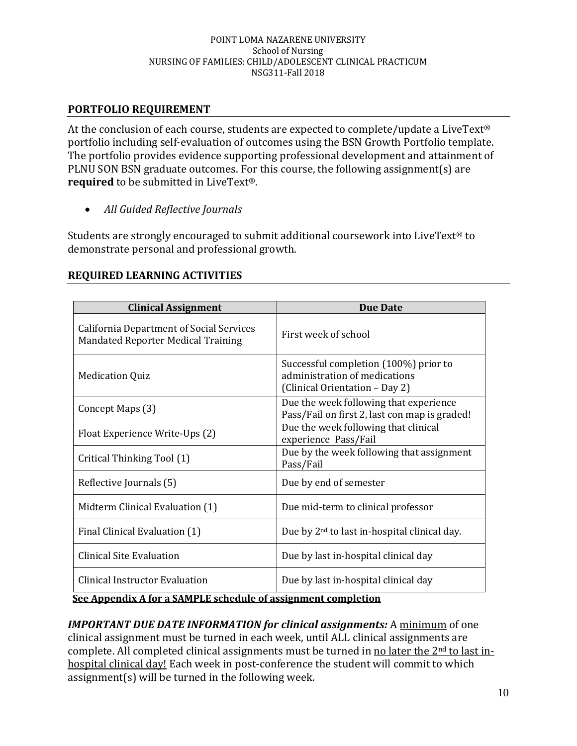# **PORTFOLIO REQUIREMENT**

At the conclusion of each course, students are expected to complete/update a LiveText® portfolio including self-evaluation of outcomes using the BSN Growth Portfolio template. The portfolio provides evidence supporting professional development and attainment of PLNU SON BSN graduate outcomes. For this course, the following assignment(s) are **required** to be submitted in LiveText®.

• *All Guided Reflective Journals*

Students are strongly encouraged to submit additional coursework into LiveText® to demonstrate personal and professional growth.

| <b>Clinical Assignment</b>                                                                             | <b>Due Date</b>                                                                                          |  |
|--------------------------------------------------------------------------------------------------------|----------------------------------------------------------------------------------------------------------|--|
| <b>California Department of Social Services</b><br>Mandated Reporter Medical Training                  | First week of school                                                                                     |  |
| <b>Medication Quiz</b>                                                                                 | Successful completion (100%) prior to<br>administration of medications<br>(Clinical Orientation - Day 2) |  |
| Concept Maps (3)                                                                                       | Due the week following that experience<br>Pass/Fail on first 2, last con map is graded!                  |  |
| Float Experience Write-Ups (2)                                                                         | Due the week following that clinical<br>experience Pass/Fail                                             |  |
| Critical Thinking Tool (1)                                                                             | Due by the week following that assignment<br>Pass/Fail                                                   |  |
| Reflective Journals (5)                                                                                | Due by end of semester                                                                                   |  |
| Midterm Clinical Evaluation (1)                                                                        | Due mid-term to clinical professor                                                                       |  |
| Final Clinical Evaluation (1)                                                                          | Due by 2 <sup>nd</sup> to last in-hospital clinical day.                                                 |  |
| <b>Clinical Site Evaluation</b>                                                                        | Due by last in-hospital clinical day                                                                     |  |
| <b>Clinical Instructor Evaluation</b><br>Coo Annondi: A fou e CAMDIE schodule of essignment completion | Due by last in-hospital clinical day                                                                     |  |

## **REQUIRED LEARNING ACTIVITIES**

## **See Appendix A for a SAMPLE schedule of assignment completion**

*IMPORTANT DUE DATE INFORMATION for clinical assignments:* A minimum of one clinical assignment must be turned in each week, until ALL clinical assignments are complete. All completed clinical assignments must be turned in no later the 2<sup>nd</sup> to last inhospital clinical day! Each week in post-conference the student will commit to which assignment(s) will be turned in the following week.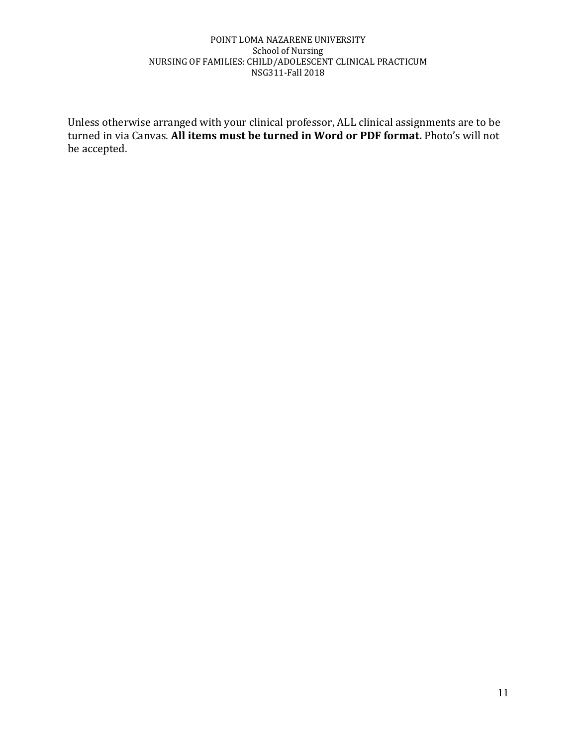Unless otherwise arranged with your clinical professor, ALL clinical assignments are to be turned in via Canvas. **All items must be turned in Word or PDF format.** Photo's will not be accepted.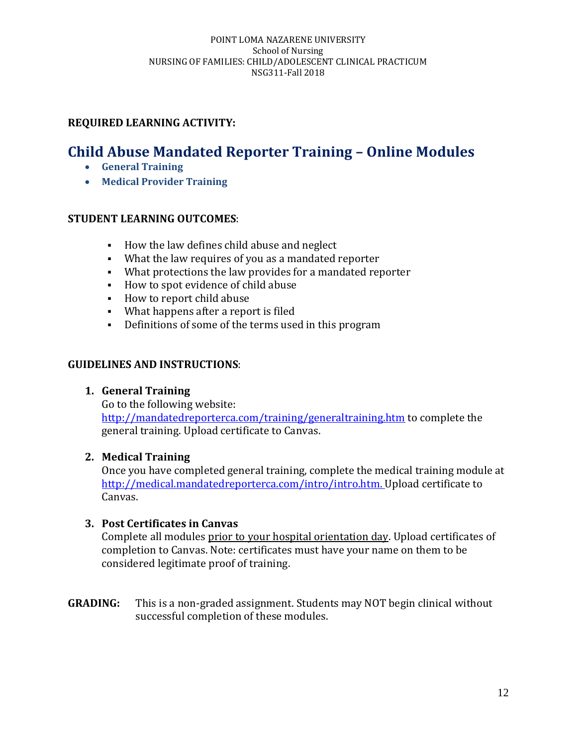# **Child Abuse Mandated Reporter Training – Online Modules**

- **General Training**
- **Medical Provider Training**

## **STUDENT LEARNING OUTCOMES**:

- How the law defines child abuse and neglect
- What the law requires of you as a mandated reporter
- What protections the law provides for a mandated reporter
- How to spot evidence of child abuse
- How to report child abuse
- What happens after a report is filed
- Definitions of some of the terms used in this program

## **GUIDELINES AND INSTRUCTIONS**:

## **1. General Training**

Go to the following website: <http://mandatedreporterca.com/training/generaltraining.htm> to complete the general training. Upload certificate to Canvas.

## **2. Medical Training**

Once you have completed general training, complete the medical training module at [http://medical.mandatedreporterca.com/intro/intro.htm.](http://medical.mandatedreporterca.com/intro/intro.htm) Upload certificate to Canvas.

## **3. Post Certificates in Canvas**

Complete all modules prior to your hospital orientation day. Upload certificates of completion to Canvas. Note: certificates must have your name on them to be considered legitimate proof of training.

**GRADING:** This is a non-graded assignment. Students may NOT begin clinical without successful completion of these modules.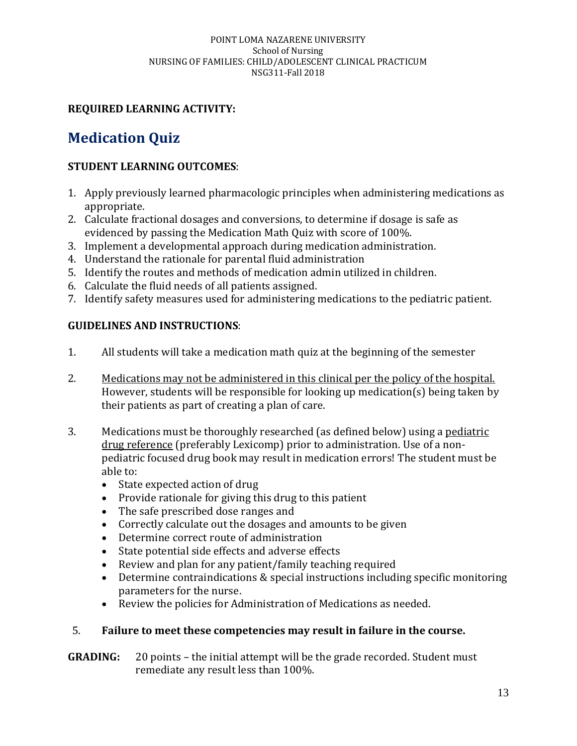# **REQUIRED LEARNING ACTIVITY:**

# **Medication Quiz**

# **STUDENT LEARNING OUTCOMES**:

- 1. Apply previously learned pharmacologic principles when administering medications as appropriate.
- 2. Calculate fractional dosages and conversions, to determine if dosage is safe as evidenced by passing the Medication Math Quiz with score of 100%.
- 3. Implement a developmental approach during medication administration.
- 4. Understand the rationale for parental fluid administration
- 5. Identify the routes and methods of medication admin utilized in children.
- 6. Calculate the fluid needs of all patients assigned.
- 7. Identify safety measures used for administering medications to the pediatric patient.

# **GUIDELINES AND INSTRUCTIONS**:

- 1. All students will take a medication math quiz at the beginning of the semester
- 2. Medications may not be administered in this clinical per the policy of the hospital. However, students will be responsible for looking up medication(s) being taken by their patients as part of creating a plan of care.
- 3. Medications must be thoroughly researched (as defined below) using a pediatric drug reference (preferably Lexicomp) prior to administration. Use of a nonpediatric focused drug book may result in medication errors! The student must be able to:
	- State expected action of drug
	- Provide rationale for giving this drug to this patient
	- The safe prescribed dose ranges and
	- Correctly calculate out the dosages and amounts to be given
	- Determine correct route of administration
	- State potential side effects and adverse effects
	- Review and plan for any patient/family teaching required
	- Determine contraindications & special instructions including specific monitoring parameters for the nurse.
	- Review the policies for Administration of Medications as needed.

# 5. **Failure to meet these competencies may result in failure in the course.**

**GRADING:** 20 points – the initial attempt will be the grade recorded. Student must remediate any result less than 100%.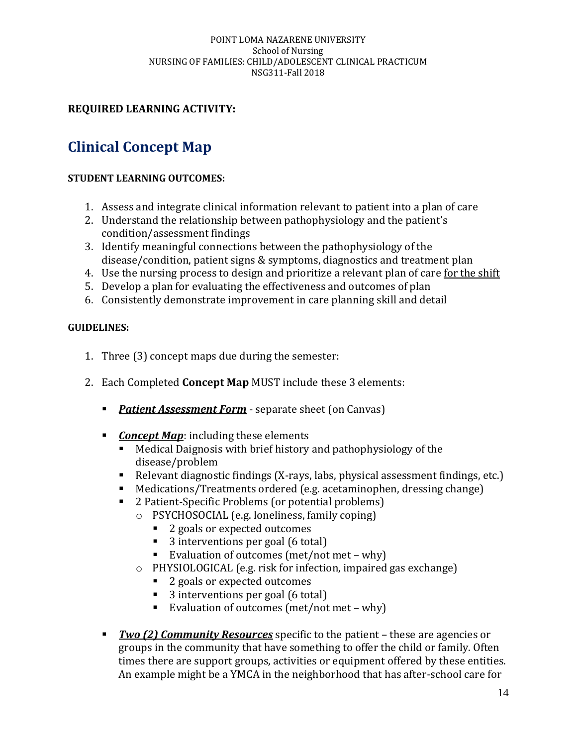# **REQUIRED LEARNING ACTIVITY:**

# **Clinical Concept Map**

# **STUDENT LEARNING OUTCOMES:**

- 1. Assess and integrate clinical information relevant to patient into a plan of care
- 2. Understand the relationship between pathophysiology and the patient's condition/assessment findings
- 3. Identify meaningful connections between the pathophysiology of the disease/condition, patient signs & symptoms, diagnostics and treatment plan
- 4. Use the nursing process to design and prioritize a relevant plan of care for the shift
- 5. Develop a plan for evaluating the effectiveness and outcomes of plan
- 6. Consistently demonstrate improvement in care planning skill and detail

## **GUIDELINES:**

- 1. Three (3) concept maps due during the semester:
- 2. Each Completed **Concept Map** MUST include these 3 elements:
	- **Patient Assessment Form** separate sheet (on Canvas)
	- *Concept Map*: including these elements
		- Medical Daignosis with brief history and pathophysiology of the disease/problem
		- Relevant diagnostic findings (X-rays, labs, physical assessment findings, etc.)
		- Medications/Treatments ordered (e.g. acetaminophen, dressing change)
		- 2 Patient-Specific Problems (or potential problems)
			- o PSYCHOSOCIAL (e.g. loneliness, family coping)
				- 2 goals or expected outcomes
				- 3 interventions per goal (6 total)
				- Evaluation of outcomes (met/not met why)
			- o PHYSIOLOGICAL (e.g. risk for infection, impaired gas exchange)
				- 2 goals or expected outcomes
				- 3 interventions per goal (6 total)
				- Evaluation of outcomes (met/not met why)
	- *Two (2) Community Resources* specific to the patient these are agencies or groups in the community that have something to offer the child or family. Often times there are support groups, activities or equipment offered by these entities. An example might be a YMCA in the neighborhood that has after-school care for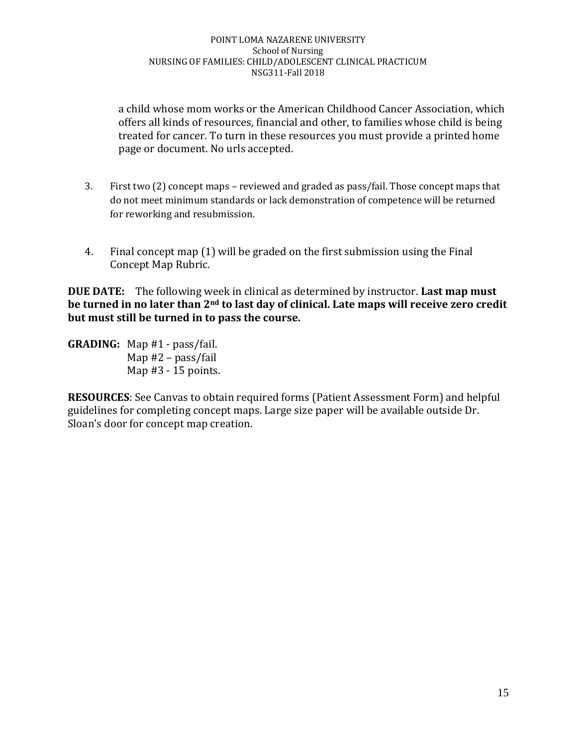a child whose mom works or the American Childhood Cancer Association, which offers all kinds of resources, financial and other, to families whose child is being treated for cancer. To turn in these resources you must provide a printed home page or document. No urls accepted.

- 3. First two (2) concept maps reviewed and graded as pass/fail. Those concept maps that do not meet minimum standards or lack demonstration of competence will be returned for reworking and resubmission.
- 4. Final concept map (1) will be graded on the first submission using the Final Concept Map Rubric.

**DUE DATE:** The following week in clinical as determined by instructor. **Last map must be turned in no later than 2nd to last day of clinical. Late maps will receive zero credit but must still be turned in to pass the course.**

**GRADING:** Map #1 - pass/fail. Map #2 – pass/fail Map #3 - 15 points.

**RESOURCES**: See Canvas to obtain required forms (Patient Assessment Form) and helpful guidelines for completing concept maps. Large size paper will be available outside Dr. Sloan's door for concept map creation.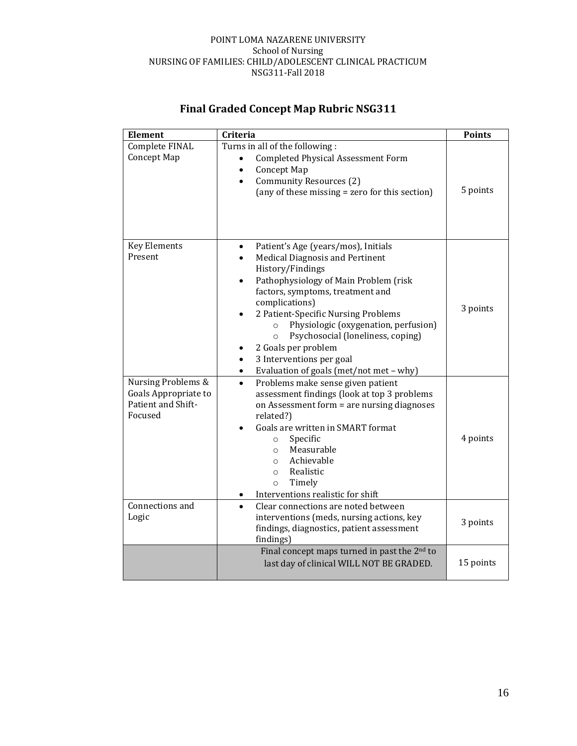| <b>Element</b>                                                              | Criteria                                                                                                                                                                                                                                                                                                                                                                                                                                              | <b>Points</b> |
|-----------------------------------------------------------------------------|-------------------------------------------------------------------------------------------------------------------------------------------------------------------------------------------------------------------------------------------------------------------------------------------------------------------------------------------------------------------------------------------------------------------------------------------------------|---------------|
| Complete FINAL<br>Concept Map                                               | Turns in all of the following:<br><b>Completed Physical Assessment Form</b><br>Concept Map<br>Community Resources (2)<br>(any of these missing = zero for this section)                                                                                                                                                                                                                                                                               | 5 points      |
| <b>Key Elements</b><br>Present                                              | Patient's Age (years/mos), Initials<br><b>Medical Diagnosis and Pertinent</b><br>History/Findings<br>Pathophysiology of Main Problem (risk<br>factors, symptoms, treatment and<br>complications)<br>2 Patient-Specific Nursing Problems<br>Physiologic (oxygenation, perfusion)<br>$\circ$<br>Psychosocial (loneliness, coping)<br>$\circ$<br>2 Goals per problem<br>3 Interventions per goal<br>Evaluation of goals (met/not met - why)<br>$\bullet$ | 3 points      |
| Nursing Problems &<br>Goals Appropriate to<br>Patient and Shift-<br>Focused | Problems make sense given patient<br>$\bullet$<br>assessment findings (look at top 3 problems<br>on Assessment form = are nursing diagnoses<br>related?)<br>Goals are written in SMART format<br>Specific<br>$\circ$<br>Measurable<br>$\circ$<br>Achievable<br>$\circ$<br>Realistic<br>$\circ$<br>Timely<br>$\circ$<br>Interventions realistic for shift                                                                                              | 4 points      |
| Connections and<br>Logic                                                    | Clear connections are noted between<br>$\bullet$<br>interventions (meds, nursing actions, key<br>findings, diagnostics, patient assessment<br>findings)                                                                                                                                                                                                                                                                                               | 3 points      |
|                                                                             | Final concept maps turned in past the $2nd$ to<br>last day of clinical WILL NOT BE GRADED.                                                                                                                                                                                                                                                                                                                                                            | 15 points     |

# **Final Graded Concept Map Rubric NSG311**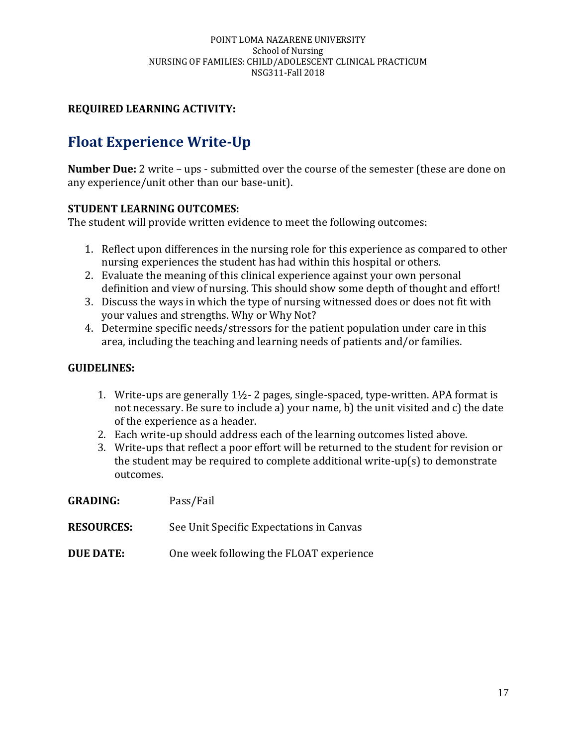# **Float Experience Write-Up**

**Number Due:** 2 write – ups - submitted over the course of the semester (these are done on any experience/unit other than our base-unit).

## **STUDENT LEARNING OUTCOMES:**

The student will provide written evidence to meet the following outcomes:

- 1. Reflect upon differences in the nursing role for this experience as compared to other nursing experiences the student has had within this hospital or others.
- 2. Evaluate the meaning of this clinical experience against your own personal definition and view of nursing. This should show some depth of thought and effort!
- 3. Discuss the ways in which the type of nursing witnessed does or does not fit with your values and strengths. Why or Why Not?
- 4. Determine specific needs/stressors for the patient population under care in this area, including the teaching and learning needs of patients and/or families.

### **GUIDELINES:**

- 1. Write-ups are generally 1½- 2 pages, single-spaced, type-written. APA format is not necessary. Be sure to include a) your name, b) the unit visited and c) the date of the experience as a header.
- 2. Each write-up should address each of the learning outcomes listed above.
- 3. Write-ups that reflect a poor effort will be returned to the student for revision or the student may be required to complete additional write-up(s) to demonstrate outcomes.

| <b>GRADING:</b> | Pass/Fail |
|-----------------|-----------|
|-----------------|-----------|

- **RESOURCES:** See Unit Specific Expectations in Canvas
- **DUE DATE:** One week following the FLOAT experience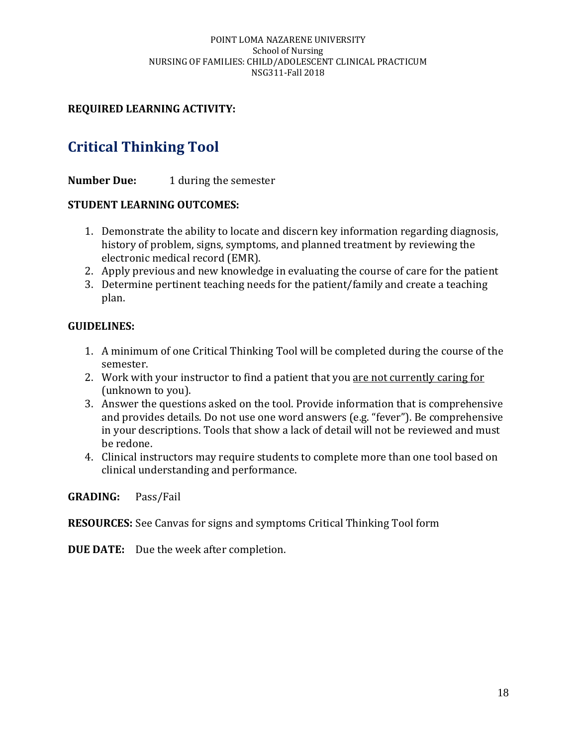# **Critical Thinking Tool**

**Number Due:** 1 during the semester

## **STUDENT LEARNING OUTCOMES:**

- 1. Demonstrate the ability to locate and discern key information regarding diagnosis, history of problem, signs, symptoms, and planned treatment by reviewing the electronic medical record (EMR).
- 2. Apply previous and new knowledge in evaluating the course of care for the patient
- 3. Determine pertinent teaching needs for the patient/family and create a teaching plan.

## **GUIDELINES:**

- 1. A minimum of one Critical Thinking Tool will be completed during the course of the semester.
- 2. Work with your instructor to find a patient that you are not currently caring for (unknown to you).
- 3. Answer the questions asked on the tool. Provide information that is comprehensive and provides details. Do not use one word answers (e.g. "fever"). Be comprehensive in your descriptions. Tools that show a lack of detail will not be reviewed and must be redone.
- 4. Clinical instructors may require students to complete more than one tool based on clinical understanding and performance.

**GRADING:** Pass/Fail

**RESOURCES:** See Canvas for signs and symptoms Critical Thinking Tool form

**DUE DATE:** Due the week after completion.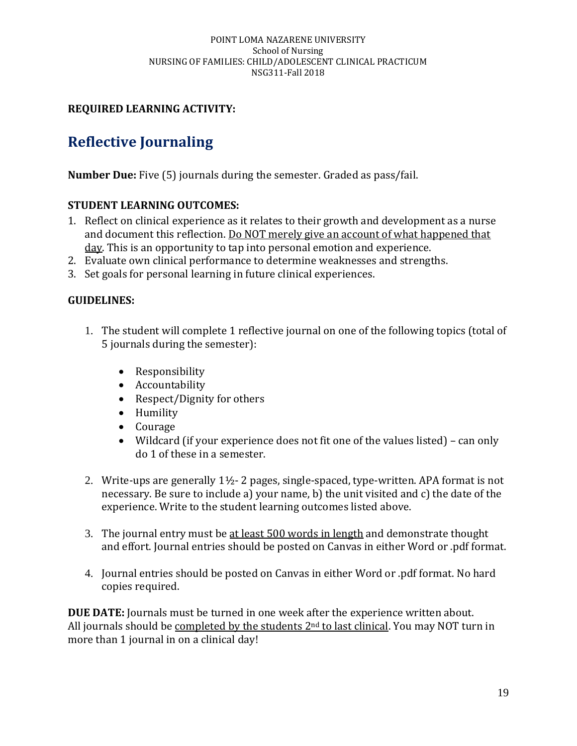# **Reflective Journaling**

**Number Due:** Five (5) journals during the semester. Graded as pass/fail.

## **STUDENT LEARNING OUTCOMES:**

- 1. Reflect on clinical experience as it relates to their growth and development as a nurse and document this reflection. Do NOT merely give an account of what happened that day. This is an opportunity to tap into personal emotion and experience.
- 2. Evaluate own clinical performance to determine weaknesses and strengths.
- 3. Set goals for personal learning in future clinical experiences.

# **GUIDELINES:**

- 1. The student will complete 1 reflective journal on one of the following topics (total of 5 journals during the semester):
	- Responsibility
	- Accountability
	- Respect/Dignity for others
	- Humility
	- Courage
	- Wildcard (if your experience does not fit one of the values listed) can only do 1 of these in a semester.
- 2. Write-ups are generally  $1\frac{1}{2}$  2 pages, single-spaced, type-written. APA format is not necessary. Be sure to include a) your name, b) the unit visited and c) the date of the experience. Write to the student learning outcomes listed above.
- 3. The journal entry must be at least 500 words in length and demonstrate thought and effort. Journal entries should be posted on Canvas in either Word or .pdf format.
- 4. Journal entries should be posted on Canvas in either Word or .pdf format. No hard copies required.

**DUE DATE:** Journals must be turned in one week after the experience written about. All journals should be completed by the students 2<sup>nd</sup> to last clinical. You may NOT turn in more than 1 journal in on a clinical day!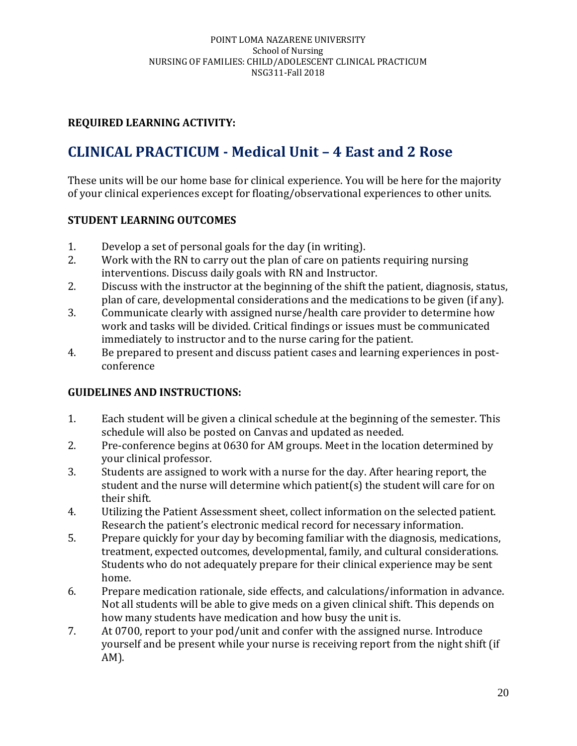# **CLINICAL PRACTICUM - Medical Unit – 4 East and 2 Rose**

These units will be our home base for clinical experience. You will be here for the majority of your clinical experiences except for floating/observational experiences to other units.

# **STUDENT LEARNING OUTCOMES**

- 1. Develop a set of personal goals for the day (in writing).
- 2. Work with the RN to carry out the plan of care on patients requiring nursing interventions. Discuss daily goals with RN and Instructor.
- 2. Discuss with the instructor at the beginning of the shift the patient, diagnosis, status, plan of care, developmental considerations and the medications to be given (if any).
- 3. Communicate clearly with assigned nurse/health care provider to determine how work and tasks will be divided. Critical findings or issues must be communicated immediately to instructor and to the nurse caring for the patient.
- 4. Be prepared to present and discuss patient cases and learning experiences in postconference

# **GUIDELINES AND INSTRUCTIONS:**

- 1. Each student will be given a clinical schedule at the beginning of the semester. This schedule will also be posted on Canvas and updated as needed.
- 2. Pre-conference begins at 0630 for AM groups. Meet in the location determined by your clinical professor.
- 3. Students are assigned to work with a nurse for the day. After hearing report, the student and the nurse will determine which patient(s) the student will care for on their shift.
- 4. Utilizing the Patient Assessment sheet, collect information on the selected patient. Research the patient's electronic medical record for necessary information.
- 5. Prepare quickly for your day by becoming familiar with the diagnosis, medications, treatment, expected outcomes, developmental, family, and cultural considerations. Students who do not adequately prepare for their clinical experience may be sent home.
- 6. Prepare medication rationale, side effects, and calculations/information in advance. Not all students will be able to give meds on a given clinical shift. This depends on how many students have medication and how busy the unit is.
- 7. At 0700, report to your pod/unit and confer with the assigned nurse. Introduce yourself and be present while your nurse is receiving report from the night shift (if AM).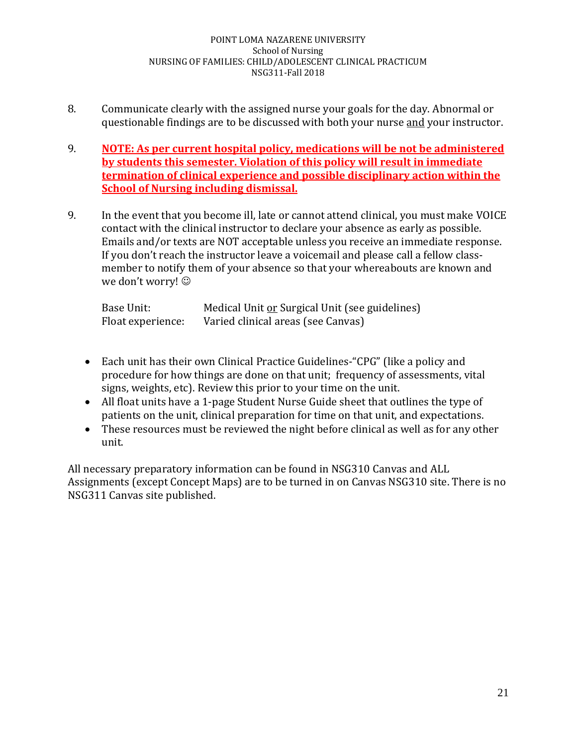- 8. Communicate clearly with the assigned nurse your goals for the day. Abnormal or questionable findings are to be discussed with both your nurse and your instructor.
- 9. **NOTE: As per current hospital policy, medications will be not be administered by students this semester. Violation of this policy will result in immediate termination of clinical experience and possible disciplinary action within the School of Nursing including dismissal.**
- 9. In the event that you become ill, late or cannot attend clinical, you must make VOICE contact with the clinical instructor to declare your absence as early as possible. Emails and/or texts are NOT acceptable unless you receive an immediate response. If you don't reach the instructor leave a voicemail and please call a fellow classmember to notify them of your absence so that your whereabouts are known and we don't worry!  $\odot$

| Base Unit:        | Medical Unit or Surgical Unit (see guidelines) |
|-------------------|------------------------------------------------|
| Float experience: | Varied clinical areas (see Canvas)             |

- Each unit has their own Clinical Practice Guidelines-"CPG" (like a policy and procedure for how things are done on that unit; frequency of assessments, vital signs, weights, etc). Review this prior to your time on the unit.
- All float units have a 1-page Student Nurse Guide sheet that outlines the type of patients on the unit, clinical preparation for time on that unit, and expectations.
- These resources must be reviewed the night before clinical as well as for any other unit.

All necessary preparatory information can be found in NSG310 Canvas and ALL Assignments (except Concept Maps) are to be turned in on Canvas NSG310 site. There is no NSG311 Canvas site published.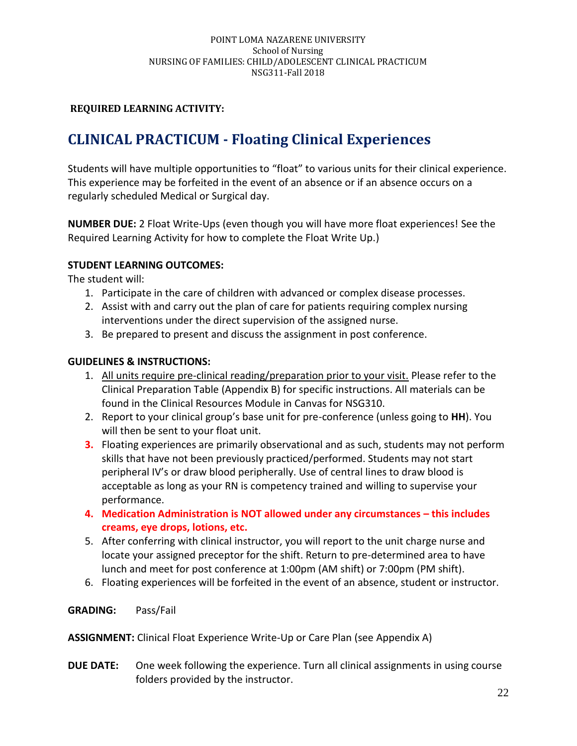# **CLINICAL PRACTICUM - Floating Clinical Experiences**

Students will have multiple opportunities to "float" to various units for their clinical experience. This experience may be forfeited in the event of an absence or if an absence occurs on a regularly scheduled Medical or Surgical day.

**NUMBER DUE:** 2 Float Write-Ups (even though you will have more float experiences! See the Required Learning Activity for how to complete the Float Write Up.)

### **STUDENT LEARNING OUTCOMES:**

The student will:

- 1. Participate in the care of children with advanced or complex disease processes.
- 2. Assist with and carry out the plan of care for patients requiring complex nursing interventions under the direct supervision of the assigned nurse.
- 3. Be prepared to present and discuss the assignment in post conference.

### **GUIDELINES & INSTRUCTIONS:**

- 1. All units require pre-clinical reading/preparation prior to your visit. Please refer to the Clinical Preparation Table (Appendix B) for specific instructions. All materials can be found in the Clinical Resources Module in Canvas for NSG310.
- 2. Report to your clinical group's base unit for pre-conference (unless going to **HH**). You will then be sent to your float unit.
- **3.** Floating experiences are primarily observational and as such, students may not perform skills that have not been previously practiced/performed. Students may not start peripheral IV's or draw blood peripherally. Use of central lines to draw blood is acceptable as long as your RN is competency trained and willing to supervise your performance.
- **4. Medication Administration is NOT allowed under any circumstances – this includes creams, eye drops, lotions, etc.**
- 5. After conferring with clinical instructor, you will report to the unit charge nurse and locate your assigned preceptor for the shift. Return to pre-determined area to have lunch and meet for post conference at 1:00pm (AM shift) or 7:00pm (PM shift).
- 6. Floating experiences will be forfeited in the event of an absence, student or instructor.

### **GRADING:** Pass/Fail

**ASSIGNMENT:** Clinical Float Experience Write-Up or Care Plan (see Appendix A)

**DUE DATE:** One week following the experience. Turn all clinical assignments in using course folders provided by the instructor.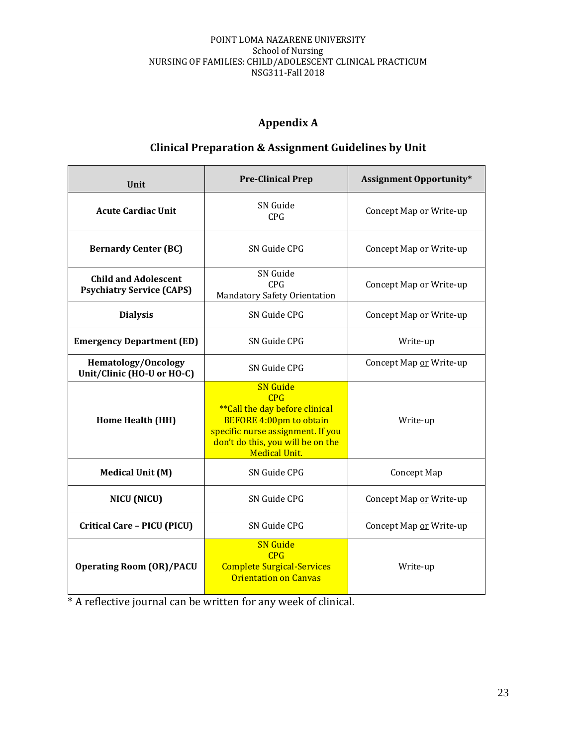# **Appendix A**

# **Clinical Preparation & Assignment Guidelines by Unit**

| <b>Unit</b>                                                     | <b>Pre-Clinical Prep</b>                                                                                                                                                                             | <b>Assignment Opportunity*</b> |
|-----------------------------------------------------------------|------------------------------------------------------------------------------------------------------------------------------------------------------------------------------------------------------|--------------------------------|
| <b>Acute Cardiac Unit</b>                                       | SN Guide<br><b>CPG</b>                                                                                                                                                                               | Concept Map or Write-up        |
| <b>Bernardy Center (BC)</b>                                     | SN Guide CPG                                                                                                                                                                                         | Concept Map or Write-up        |
| <b>Child and Adolescent</b><br><b>Psychiatry Service (CAPS)</b> | SN Guide<br><b>CPG</b><br>Mandatory Safety Orientation                                                                                                                                               | Concept Map or Write-up        |
| <b>Dialysis</b>                                                 | SN Guide CPG                                                                                                                                                                                         | Concept Map or Write-up        |
| <b>Emergency Department (ED)</b>                                | SN Guide CPG                                                                                                                                                                                         | Write-up                       |
| <b>Hematology/Oncology</b><br>Unit/Clinic (HO-U or HO-C)        | SN Guide CPG                                                                                                                                                                                         | Concept Map or Write-up        |
| Home Health (HH)                                                | <b>SN</b> Guide<br>CPG<br><i>**</i> Call the day before clinical<br><b>BEFORE 4:00pm to obtain</b><br>specific nurse assignment. If you<br>don't do this, you will be on the<br><b>Medical Unit.</b> | Write-up                       |
| <b>Medical Unit (M)</b>                                         | SN Guide CPG                                                                                                                                                                                         | Concept Map                    |
| NICU (NICU)                                                     | SN Guide CPG                                                                                                                                                                                         | Concept Map or Write-up        |
| <b>Critical Care - PICU (PICU)</b>                              | SN Guide CPG                                                                                                                                                                                         | Concept Map or Write-up        |
| <b>Operating Room (OR)/PACU</b>                                 | <b>SN</b> Guide<br>CPG<br><b>Complete Surgical-Services</b><br><b>Orientation on Canvas</b>                                                                                                          | Write-up                       |

\* A reflective journal can be written for any week of clinical.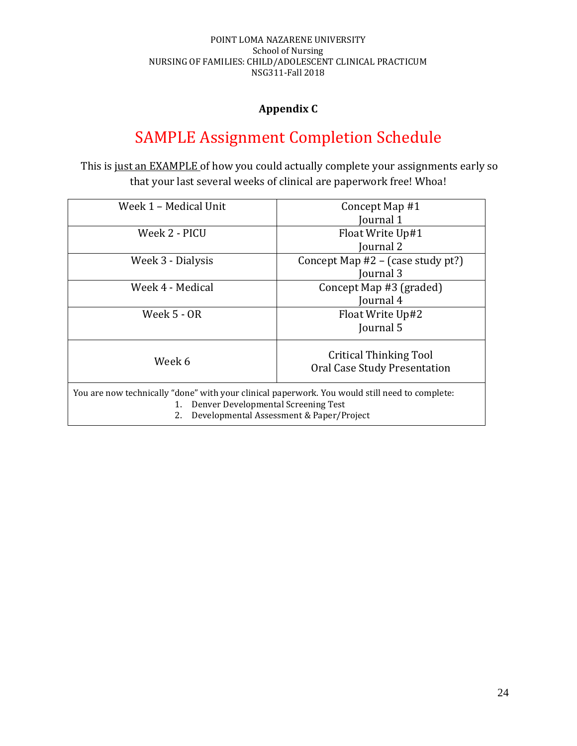# **Appendix C**

# SAMPLE Assignment Completion Schedule

This is just an EXAMPLE of how you could actually complete your assignments early so that your last several weeks of clinical are paperwork free! Whoa!

| Week 1 – Medical Unit                                                                          | Concept Map #1                           |
|------------------------------------------------------------------------------------------------|------------------------------------------|
|                                                                                                | ournal 1                                 |
| Week 2 - PICU                                                                                  | Float Write Up#1                         |
|                                                                                                | Journal 2                                |
| Week 3 - Dialysis                                                                              | Concept Map #2 – (case study pt?)        |
|                                                                                                | Journal 3                                |
| Week 4 - Medical                                                                               | Concept Map #3 (graded)                  |
|                                                                                                | Journal 4                                |
| Week 5 - OR                                                                                    | Float Write Up#2                         |
|                                                                                                | Journal 5                                |
|                                                                                                | Critical Thinking Tool                   |
| Week 6                                                                                         | Oral Case Study Presentation             |
|                                                                                                |                                          |
| You are now technically "done" with your clinical paperwork. You would still need to complete: |                                          |
| Denver Developmental Screening Test<br>1.                                                      |                                          |
| 2.                                                                                             | Developmental Assessment & Paper/Project |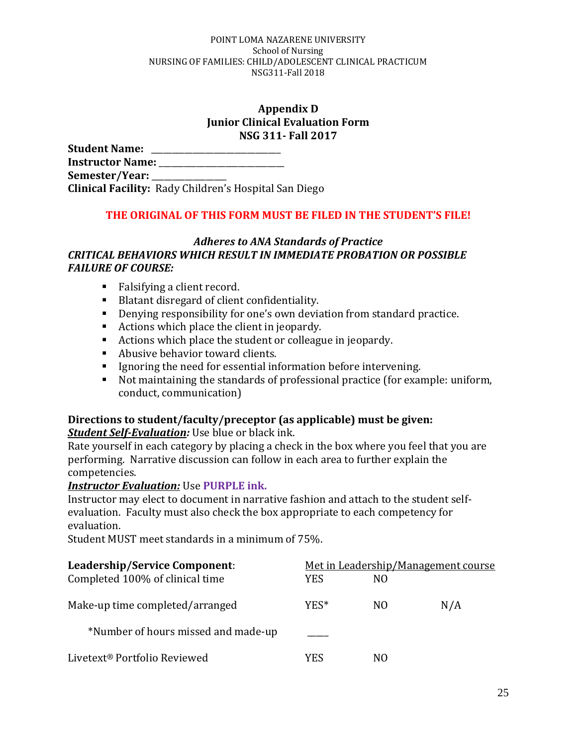### **Appendix D Junior Clinical Evaluation Form NSG 311- Fall 2017**

**Student Name:** \_\_\_\_\_\_\_\_\_\_\_\_\_\_\_\_\_\_\_\_\_\_\_\_\_\_\_\_\_\_\_ **Instructor Name:** \_\_\_\_\_\_\_\_\_\_\_\_\_\_\_\_\_\_\_\_\_\_\_\_\_\_\_\_\_\_ **Semester/Year:** \_\_\_\_\_\_\_\_\_\_\_\_\_\_\_\_\_\_ **Clinical Facility:** Rady Children's Hospital San Diego

## **THE ORIGINAL OF THIS FORM MUST BE FILED IN THE STUDENT'S FILE!**

### *Adheres to ANA Standards of Practice CRITICAL BEHAVIORS WHICH RESULT IN IMMEDIATE PROBATION OR POSSIBLE FAILURE OF COURSE:*

- Falsifying a client record.
- Blatant disregard of client confidentiality.
- Denying responsibility for one's own deviation from standard practice.
- Actions which place the client in jeopardy.
- Actions which place the student or colleague in jeopardy.
- Abusive behavior toward clients.
- Ignoring the need for essential information before intervening.
- Not maintaining the standards of professional practice (for example: uniform, conduct, communication)

# **Directions to student/faculty/preceptor (as applicable) must be given:**

*Student Self-Evaluation:* Use blue or black ink.

Rate yourself in each category by placing a check in the box where you feel that you are performing. Narrative discussion can follow in each area to further explain the competencies.

## *Instructor Evaluation:* Use **PURPLE ink.**

Instructor may elect to document in narrative fashion and attach to the student selfevaluation. Faculty must also check the box appropriate to each competency for evaluation.

Student MUST meet standards in a minimum of 75%.

| Leadership/Service Component:            |      | Met in Leadership/Management course |     |
|------------------------------------------|------|-------------------------------------|-----|
| Completed 100% of clinical time          | YES. | NO.                                 |     |
| Make-up time completed/arranged          | YES* | N <sub>O</sub>                      | N/A |
| *Number of hours missed and made-up      |      |                                     |     |
| Livetext <sup>®</sup> Portfolio Reviewed | YES  | NO.                                 |     |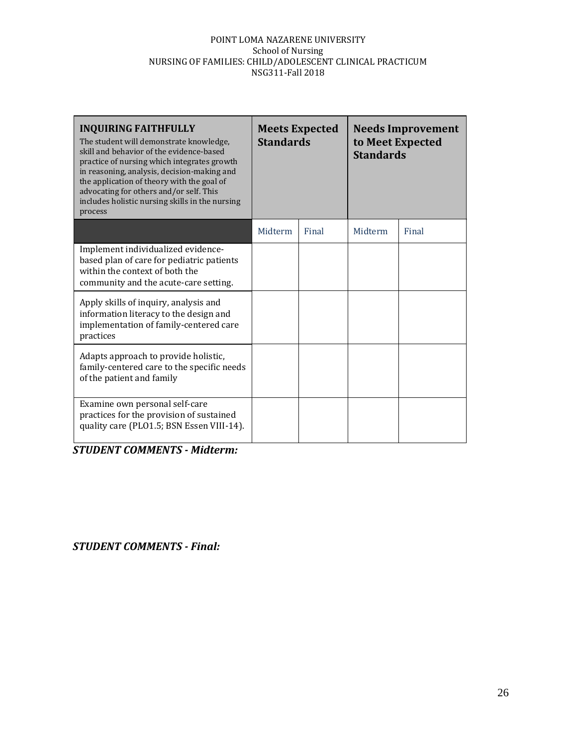| <b>INQUIRING FAITHFULLY</b><br>The student will demonstrate knowledge,<br>skill and behavior of the evidence-based<br>practice of nursing which integrates growth<br>in reasoning, analysis, decision-making and<br>the application of theory with the goal of<br>advocating for others and/or self. This<br>includes holistic nursing skills in the nursing<br>process | <b>Standards</b> | <b>Meets Expected</b> | to Meet Expected<br><b>Standards</b> | <b>Needs Improvement</b> |
|-------------------------------------------------------------------------------------------------------------------------------------------------------------------------------------------------------------------------------------------------------------------------------------------------------------------------------------------------------------------------|------------------|-----------------------|--------------------------------------|--------------------------|
|                                                                                                                                                                                                                                                                                                                                                                         | Midterm          | Final                 | Midterm                              | Final                    |
| Implement individualized evidence-<br>based plan of care for pediatric patients<br>within the context of both the<br>community and the acute-care setting.                                                                                                                                                                                                              |                  |                       |                                      |                          |
| Apply skills of inquiry, analysis and<br>information literacy to the design and<br>implementation of family-centered care<br>practices                                                                                                                                                                                                                                  |                  |                       |                                      |                          |
| Adapts approach to provide holistic,<br>family-centered care to the specific needs<br>of the patient and family                                                                                                                                                                                                                                                         |                  |                       |                                      |                          |
| Examine own personal self-care<br>practices for the provision of sustained<br>quality care (PLO1.5; BSN Essen VIII-14).                                                                                                                                                                                                                                                 |                  |                       |                                      |                          |

 *STUDENT COMMENTS - Midterm:*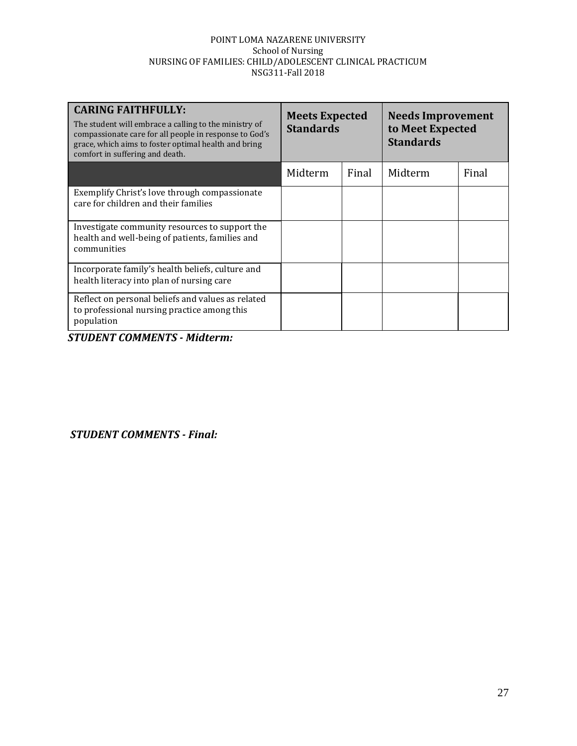| <b>CARING FAITHFULLY:</b><br>The student will embrace a calling to the ministry of<br>compassionate care for all people in response to God's<br>grace, which aims to foster optimal health and bring<br>comfort in suffering and death. | <b>Meets Expected</b><br><b>Standards</b> |       | <b>Needs Improvement</b><br>to Meet Expected<br><b>Standards</b> |       |
|-----------------------------------------------------------------------------------------------------------------------------------------------------------------------------------------------------------------------------------------|-------------------------------------------|-------|------------------------------------------------------------------|-------|
|                                                                                                                                                                                                                                         | Midterm                                   | Final | Midterm                                                          | Final |
| Exemplify Christ's love through compassionate<br>care for children and their families                                                                                                                                                   |                                           |       |                                                                  |       |
| Investigate community resources to support the<br>health and well-being of patients, families and<br>communities                                                                                                                        |                                           |       |                                                                  |       |
| Incorporate family's health beliefs, culture and<br>health literacy into plan of nursing care                                                                                                                                           |                                           |       |                                                                  |       |
| Reflect on personal beliefs and values as related<br>to professional nursing practice among this<br>population                                                                                                                          |                                           |       |                                                                  |       |

*STUDENT COMMENTS - Midterm:*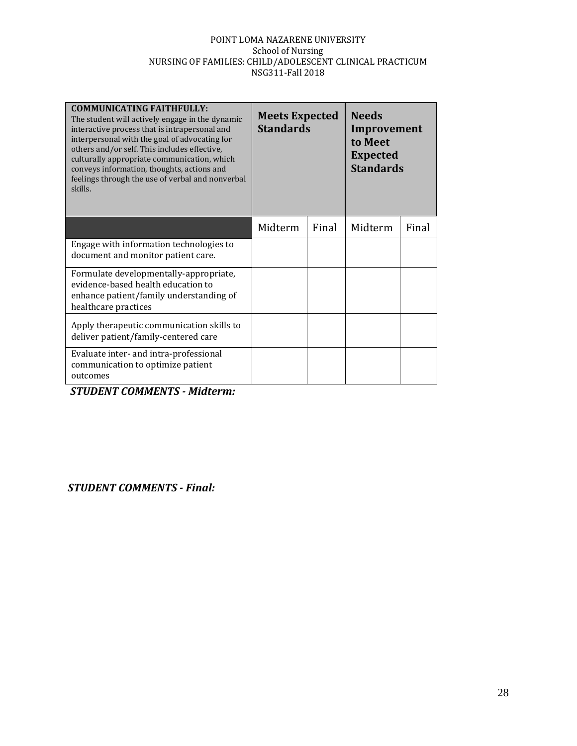| <b>COMMUNICATING FAITHFULLY:</b><br>The student will actively engage in the dynamic<br>interactive process that is intrapersonal and<br>interpersonal with the goal of advocating for<br>others and/or self. This includes effective,<br>culturally appropriate communication, which<br>conveys information, thoughts, actions and<br>feelings through the use of verbal and nonverbal<br>skills. | <b>Meets Expected</b><br><b>Standards</b> |       | <b>Needs</b><br>Improvement<br>to Meet<br><b>Expected</b><br><b>Standards</b> |       |
|---------------------------------------------------------------------------------------------------------------------------------------------------------------------------------------------------------------------------------------------------------------------------------------------------------------------------------------------------------------------------------------------------|-------------------------------------------|-------|-------------------------------------------------------------------------------|-------|
|                                                                                                                                                                                                                                                                                                                                                                                                   | Midterm                                   | Final | Midterm                                                                       | Final |
| Engage with information technologies to<br>document and monitor patient care.                                                                                                                                                                                                                                                                                                                     |                                           |       |                                                                               |       |
| Formulate developmentally-appropriate,<br>evidence-based health education to<br>enhance patient/family understanding of<br>healthcare practices                                                                                                                                                                                                                                                   |                                           |       |                                                                               |       |
| Apply therapeutic communication skills to<br>deliver patient/family-centered care                                                                                                                                                                                                                                                                                                                 |                                           |       |                                                                               |       |
| Evaluate inter- and intra-professional<br>communication to optimize patient<br>outcomes                                                                                                                                                                                                                                                                                                           |                                           |       |                                                                               |       |

*STUDENT COMMENTS - Midterm:*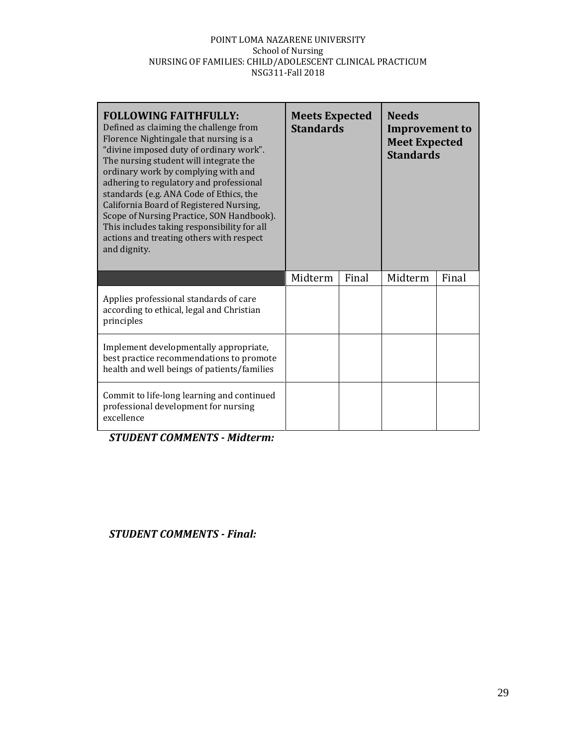| <b>FOLLOWING FAITHFULLY:</b><br>Defined as claiming the challenge from<br>Florence Nightingale that nursing is a<br>"divine imposed duty of ordinary work".<br>The nursing student will integrate the<br>ordinary work by complying with and<br>adhering to regulatory and professional<br>standards (e.g. ANA Code of Ethics, the<br>California Board of Registered Nursing,<br>Scope of Nursing Practice, SON Handbook).<br>This includes taking responsibility for all<br>actions and treating others with respect<br>and dignity. | <b>Meets Expected</b><br><b>Standards</b> |       | <b>Needs</b><br><b>Improvement to</b><br><b>Meet Expected</b><br><b>Standards</b> |       |
|---------------------------------------------------------------------------------------------------------------------------------------------------------------------------------------------------------------------------------------------------------------------------------------------------------------------------------------------------------------------------------------------------------------------------------------------------------------------------------------------------------------------------------------|-------------------------------------------|-------|-----------------------------------------------------------------------------------|-------|
|                                                                                                                                                                                                                                                                                                                                                                                                                                                                                                                                       | Midterm                                   | Final | Midterm                                                                           | Final |
| Applies professional standards of care<br>according to ethical, legal and Christian<br>principles                                                                                                                                                                                                                                                                                                                                                                                                                                     |                                           |       |                                                                                   |       |
| Implement developmentally appropriate,<br>best practice recommendations to promote<br>health and well beings of patients/families                                                                                                                                                                                                                                                                                                                                                                                                     |                                           |       |                                                                                   |       |
| Commit to life-long learning and continued<br>professional development for nursing<br>excellence                                                                                                                                                                                                                                                                                                                                                                                                                                      |                                           |       |                                                                                   |       |

 *STUDENT COMMENTS - Midterm:*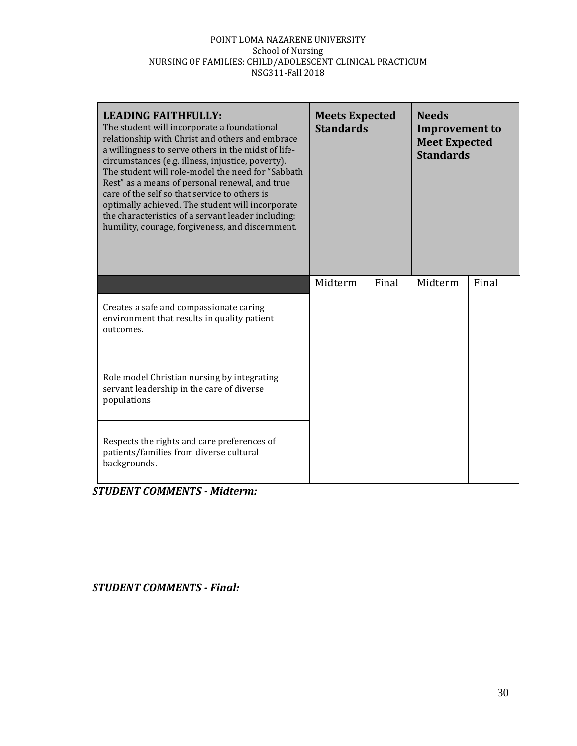| <b>LEADING FAITHFULLY:</b><br>The student will incorporate a foundational<br>relationship with Christ and others and embrace<br>a willingness to serve others in the midst of life-<br>circumstances (e.g. illness, injustice, poverty).<br>The student will role-model the need for "Sabbath<br>Rest" as a means of personal renewal, and true<br>care of the self so that service to others is<br>optimally achieved. The student will incorporate<br>the characteristics of a servant leader including:<br>humility, courage, forgiveness, and discernment. | <b>Meets Expected</b><br><b>Standards</b> |       | <b>Needs</b><br><b>Improvement to</b><br><b>Meet Expected</b><br><b>Standards</b> |       |
|----------------------------------------------------------------------------------------------------------------------------------------------------------------------------------------------------------------------------------------------------------------------------------------------------------------------------------------------------------------------------------------------------------------------------------------------------------------------------------------------------------------------------------------------------------------|-------------------------------------------|-------|-----------------------------------------------------------------------------------|-------|
|                                                                                                                                                                                                                                                                                                                                                                                                                                                                                                                                                                | Midterm                                   | Final | Midterm                                                                           | Final |
| Creates a safe and compassionate caring<br>environment that results in quality patient<br>outcomes.                                                                                                                                                                                                                                                                                                                                                                                                                                                            |                                           |       |                                                                                   |       |
| Role model Christian nursing by integrating<br>servant leadership in the care of diverse<br>populations                                                                                                                                                                                                                                                                                                                                                                                                                                                        |                                           |       |                                                                                   |       |
| Respects the rights and care preferences of<br>patients/families from diverse cultural<br>backgrounds.                                                                                                                                                                                                                                                                                                                                                                                                                                                         |                                           |       |                                                                                   |       |

 *STUDENT COMMENTS - Midterm:*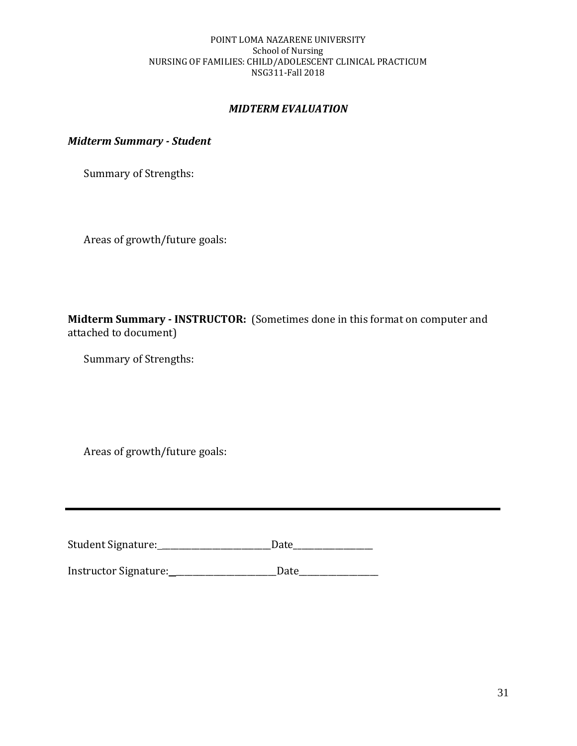### *MIDTERM EVALUATION*

*Midterm Summary - Student*

Summary of Strengths:

Areas of growth/future goals:

**Midterm Summary - INSTRUCTOR:** (Sometimes done in this format on computer and attached to document)

Summary of Strengths:

Areas of growth/future goals:

Student Signature: \_\_\_\_\_\_\_\_\_\_\_\_\_\_\_\_\_\_\_\_\_\_\_\_\_\_Date\_\_\_\_\_\_\_\_\_\_\_\_\_\_\_\_\_\_\_

Instructor Signature: \_\_\_\_\_\_\_\_\_\_\_\_\_\_\_\_\_\_\_\_\_\_\_\_Date\_\_\_\_\_\_\_\_\_\_\_\_\_\_\_\_\_\_\_